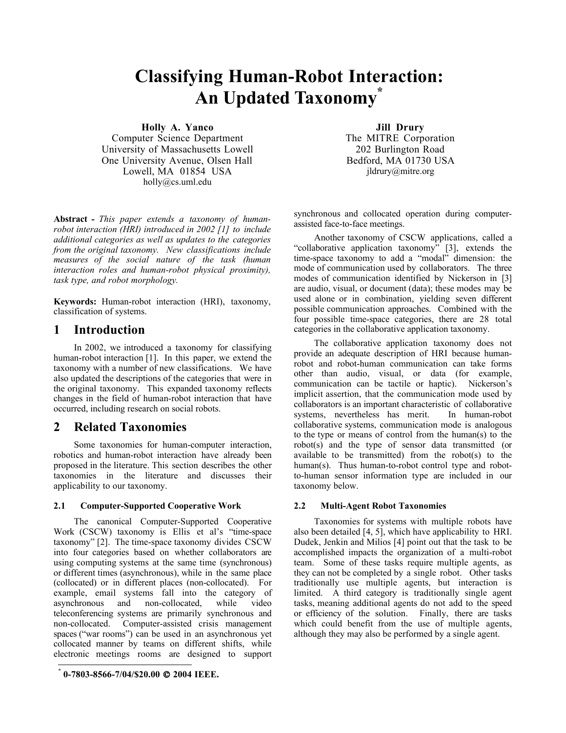# Classifying Human-Robot Interaction: An Updated Taxonomy \*

Holly A. Yanco

Computer Science Department University of Massachusetts Lowell One University Avenue, Olsen Hall Lowell, MA 01854 USA holly@cs.uml.edu

Abstract *- This paper extends a taxonomy of humanrobot interaction (HRI) introduced in 2002 [1] to include additional categories as well as updates to the categories from the original taxonomy. New classifications include measures of the social nature of the task (human interaction roles and human-robot physical proximity), task type, and robot morphology.*

Keywords: Human-robot interaction (HRI), taxonomy, classification of systems.

# 1 Introduction

In 2002, we introduced a taxonomy for classifying human-robot interaction [1]. In this paper, we extend the taxonomy with a number of new classifications. We have also updated the descriptions of the categories that were in the original taxonomy. This expanded taxonomy reflects changes in the field of human-robot interaction that have occurred, including research on social robots.

# 2 Related Taxonomies

Some taxonomies for human-computer interaction, robotics and human-robot interaction have already been proposed in the literature. This section describes the other taxonomies in the literature and discusses their applicability to our taxonomy.

#### 2.1 Computer-Supported Cooperative Work

The canonical Computer-Supported Cooperative Work (CSCW) taxonomy is Ellis et al's "time-space taxonomy"  $[2]$ . The time-space taxonomy divides CSCW into four categories based on whether collaborators are using computing systems at the same time (synchronous) or different times (asynchronous), while in the same place (collocated) or in different places (non-collocated). For example, email systems fall into the category of asynchronous and non-collocated, while video teleconferencing systems are primarily synchronous and non-collocated. Computer-assisted crisis management spaces ("war rooms") can be used in an asynchronous yet collocated manner by teams on different shifts, while electronic meetings rooms are designed to support

 $\overline{a}$ 

Jill Drury The MITRE Corporation 202 Burlington Road Bedford, MA 01730 USA jldrury@mitre.org

synchronous and collocated operation during computerassisted face-to-face meetings.

Another taxonomy of CSCW applications, called a "collaborative application taxonomy" [3], extends the time-space taxonomy to add a "modal" dimension: the mode of communication used by collaborators. The three modes of communication identified by Nickerson in [3] are audio, visual, or document (data); these modes may be used alone or in combination, yielding seven different possible communication approaches. Combined with the four possible time-space categories, there are 28 total categories in the collaborative application taxonomy.

The collaborative application taxonomy does not provide an adequate description of HRI because humanrobot and robot-human communication can take forms other than audio, visual, or data (for example, communication can be tactile or haptic). Nickerson's implicit assertion, that the communication mode used by collaborators is an important characteristic of collaborative systems, nevertheless has merit. collaborative systems, communication mode is analogous to the type or means of control from the human(s) to the robot(s) and the type of sensor data transmitted (or available to be transmitted) from the robot(s) to the human(s). Thus human-to-robot control type and robotto-human sensor information type are included in our taxonomy below.

#### 2.2 Multi-Agent Robot Taxonomies

Taxonomies for systems with multiple robots have also been detailed [4, 5], which have applicability to HRI. Dudek, Jenkin and Milios [4] point out that the task to be accomplished impacts the organization of a multi-robot team. Some of these tasks require multiple agents, as they can not be completed by a single robot. Other tasks traditionally use multiple agents, but interaction is limited. A third category is traditionally single agent tasks, meaning additional agents do not add to the speed or efficiency of the solution. Finally, there are tasks which could benefit from the use of multiple agents, although they may also be performed by a single agent.

<sup>0-7803-8566-7/04/\$20.00 © 2004</sup> IEEE.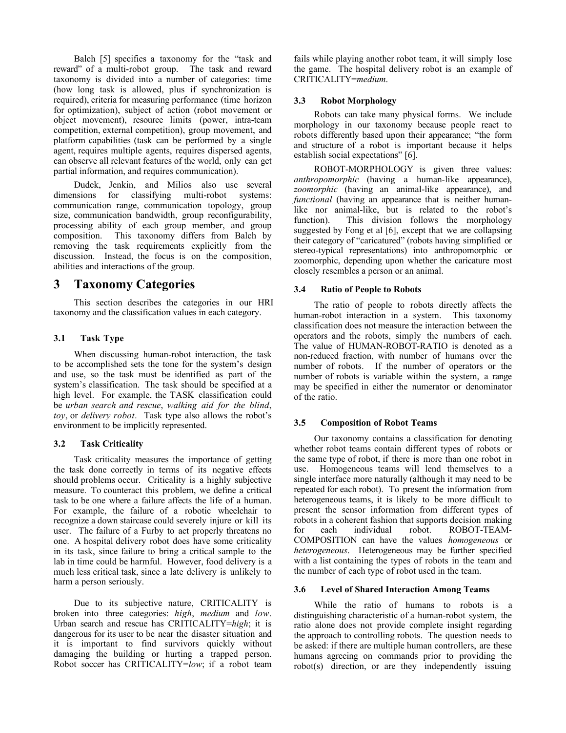Balch [5] specifies a taxonomy for the "task and reward" of a multi-robot group. The task and reward taxonomy is divided into a number of categories: time (how long task is allowed, plus if synchronization is required), criteria for measuring performance (time horizon for optimization), subject of action (robot movement or object movement), resource limits (power, intra-team competition, external competition), group movement, and platform capabilities (task can be performed by a single agent, requires multiple agents, requires dispersed agents, can observe all relevant features of the world, only can get partial information, and requires communication).

Dudek, Jenkin, and Milios also use several dimensions for classifying multi-robot systems: communication range, communication topology, group size, communication bandwidth, group reconfigurability, processing ability of each group member, and group composition. This taxonomy differs from Balch by removing the task requirements explicitly from the discussion. Instead, the focus is on the composition, abilities and interactions of the group.

# 3 Taxonomy Categories

This section describes the categories in our HRI taxonomy and the classification values in each category.

## 3.1 Task Type

When discussing human-robot interaction, the task to be accomplished sets the tone for the system's design and use, so the task must be identified as part of the system's classification. The task should be specified at a high level. For example, the TASK classification could be *urban search and rescue*, *walking aid for the blind*, *toy*, or *delivery robot*. Task type also allows the robot's environment to be implicitly represented.

## 3.2 Task Criticality

Task criticality measures the importance of getting the task done correctly in terms of its negative effects should problems occur. Criticality is a highly subjective measure. To counteract this problem, we define a critical task to be one where a failure affects the life of a human. For example, the failure of a robotic wheelchair to recognize a down staircase could severely injure or kill its user. The failure of a Furby to act properly threatens no one. A hospital delivery robot does have some criticality in its task, since failure to bring a critical sample to the lab in time could be harmful. However, food delivery is a much less critical task, since a late delivery is unlikely to harm a person seriously.

Due to its subjective nature, CRITICALITY is broken into three categories: *high*, *medium* and *low*. Urban search and rescue has CRITICALITY=*high*; it is dangerous for its user to be near the disaster situation and it is important to find survivors quickly without damaging the building or hurting a trapped person. Robot soccer has CRITICALITY=*low*; if a robot team

fails while playing another robot team, it will simply lose the game. The hospital delivery robot is an example of CRITICALITY=*medium*.

## 3.3 Robot Morphology

Robots can take many physical forms. We include morphology in our taxonomy because people react to robots differently based upon their appearance; "the form and structure of a robot is important because it helps establish social expectations" [6].

ROBOT-MORPHOLOGY is given three values: *anthropomorphic* (having a human-like appearance), *zoomorphic* (having an animal-like appearance), and *functional* (having an appearance that is neither humanlike nor animal-like, but is related to the robot's function). This division follows the morphology suggested by Fong et al [6], except that we are collapsing their category of "caricatured" (robots having simplified or stereo-typical representations) into anthropomorphic or zoomorphic, depending upon whether the caricature most closely resembles a person or an animal.

## 3.4 Ratio of People to Robots

The ratio of people to robots directly affects the human-robot interaction in a system. This taxonomy classification does not measure the interaction between the operators and the robots, simply the numbers of each. The value of HUMAN-ROBOT-RATIO is denoted as a non-reduced fraction, with number of humans over the number of robots. If the number of operators or the number of robots is variable within the system, a range may be specified in either the numerator or denominator of the ratio.

## 3.5 Composition of Robot Teams

Our taxonomy contains a classification for denoting whether robot teams contain different types of robots or the same type of robot, if there is more than one robot in use. Homogeneous teams will lend themselves to a single interface more naturally (although it may need to be repeated for each robot). To present the information from heterogeneous teams, it is likely to be more difficult to present the sensor information from different types of robots in a coherent fashion that supports decision making for each individual robot. ROBOT-TEAM-COMPOSITION can have the values *homogeneous* or *heterogeneous*. Heterogeneous may be further specified with a list containing the types of robots in the team and the number of each type of robot used in the team.

## 3.6 Level of Shared Interaction Among Teams

While the ratio of humans to robots is a distinguishing characteristic of a human-robot system, the ratio alone does not provide complete insight regarding the approach to controlling robots. The question needs to be asked: if there are multiple human controllers, are these humans agreeing on commands prior to providing the robot(s) direction, or are they independently issuing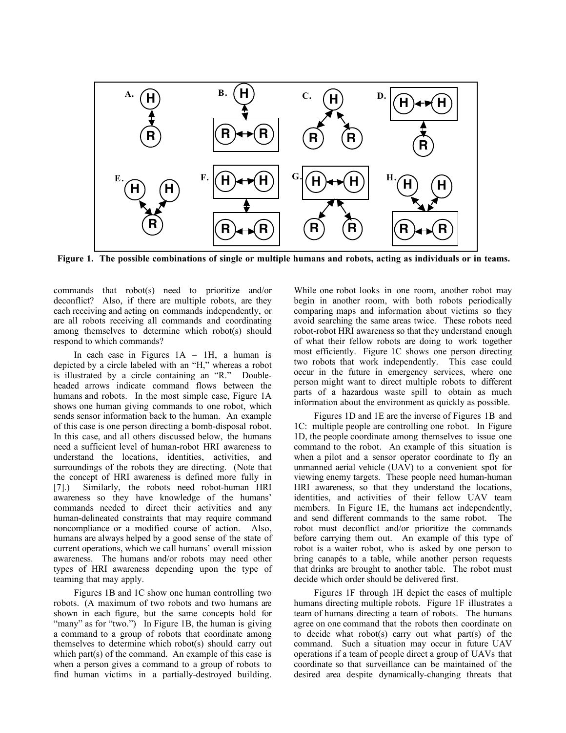

Figure 1. The possible combinations of single or multiple humans and robots, acting as individuals or in teams.

commands that robot(s) need to prioritize and/or deconflict? Also, if there are multiple robots, are they each receiving and acting on commands independently, or are all robots receiving all commands and coordinating among themselves to determine which robot(s) should respond to which commands?

In each case in Figures  $1A - 1H$ , a human is depicted by a circle labeled with an "H," whereas a robot is illustrated by a circle containing an "R." Doubleheaded arrows indicate command flows between the humans and robots. In the most simple case, Figure 1A shows one human giving commands to one robot, which sends sensor information back to the human. An example of this case is one person directing a bomb-disposal robot. In this case, and all others discussed below, the humans need a sufficient level of human-robot HRI awareness to understand the locations, identities, activities, and surroundings of the robots they are directing. (Note that the concept of HRI awareness is defined more fully in [7].) Similarly, the robots need robot-human HRI awareness so they have knowledge of the humans' commands needed to direct their activities and any human-delineated constraints that may require command noncompliance or a modified course of action. Also, humans are always helped by a good sense of the state of current operations, which we call humans' overall mission awareness. The humans and/or robots may need other types of HRI awareness depending upon the type of teaming that may apply.

Figures 1B and 1C show one human controlling two robots. (A maximum of two robots and two humans are shown in each figure, but the same concepts hold for "many" as for "two.") In Figure 1B, the human is giving a command to a group of robots that coordinate among themselves to determine which robot(s) should carry out which part $(s)$  of the command. An example of this case is when a person gives a command to a group of robots to find human victims in a partially-destroyed building.

While one robot looks in one room, another robot may begin in another room, with both robots periodically comparing maps and information about victims so they avoid searching the same areas twice. These robots need robot-robot HRI awareness so that they understand enough of what their fellow robots are doing to work together most efficiently. Figure 1C shows one person directing two robots that work independently. This case could occur in the future in emergency services, where one person might want to direct multiple robots to different parts of a hazardous waste spill to obtain as much information about the environment as quickly as possible.

Figures 1D and 1E are the inverse of Figures 1B and 1C: multiple people are controlling one robot. In Figure 1D, the people coordinate among themselves to issue one command to the robot. An example of this situation is when a pilot and a sensor operator coordinate to fly an unmanned aerial vehicle (UAV) to a convenient spot for viewing enemy targets. These people need human-human HRI awareness, so that they understand the locations, identities, and activities of their fellow UAV team members. In Figure 1E, the humans act independently, and send different commands to the same robot. The robot must deconflict and/or prioritize the commands before carrying them out. An example of this type of robot is a waiter robot, who is asked by one person to bring canapés to a table, while another person requests that drinks are brought to another table. The robot must decide which order should be delivered first.

Figures 1F through 1H depict the cases of multiple humans directing multiple robots. Figure 1F illustrates a team of humans directing a team of robots. The humans agree on one command that the robots then coordinate on to decide what robot(s) carry out what part(s) of the command. Such a situation may occur in future UAV operations if a team of people direct a group of UAVs that coordinate so that surveillance can be maintained of the desired area despite dynamically-changing threats that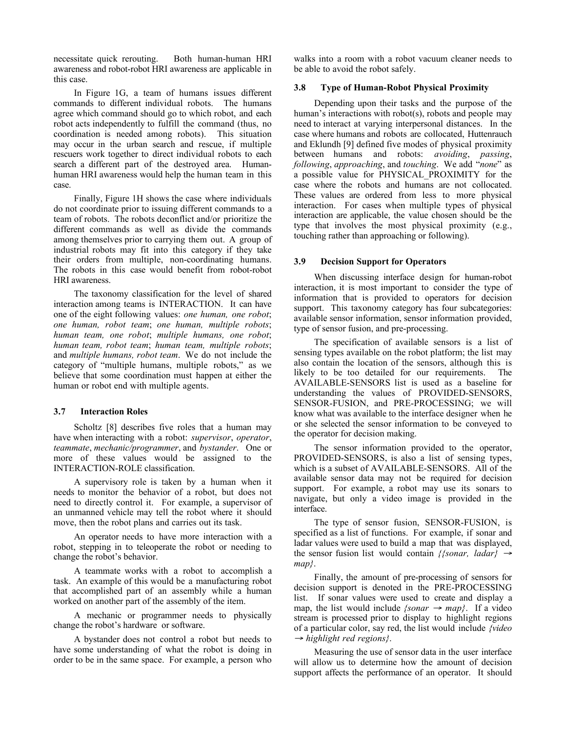necessitate quick rerouting. Both human-human HRI awareness and robot-robot HRI awareness are applicable in this case.

In Figure 1G, a team of humans issues different commands to different individual robots. The humans agree which command should go to which robot, and each robot acts independently to fulfill the command (thus, no coordination is needed among robots). This situation coordination is needed among robots). may occur in the urban search and rescue, if multiple rescuers work together to direct individual robots to each search a different part of the destroyed area. Humanhuman HRI awareness would help the human team in this case.

Finally, Figure 1H shows the case where individuals do not coordinate prior to issuing different commands to a team of robots. The robots deconflict and/or prioritize the different commands as well as divide the commands among themselves prior to carrying them out. A group of industrial robots may fit into this category if they take their orders from multiple, non-coordinating humans. The robots in this case would benefit from robot-robot HRI awareness.

The taxonomy classification for the level of shared interaction among teams is INTERACTION. It can have one of the eight following values: *one human, one robot*; *one human, robot team*; *one human, multiple robots*; *human team, one robot*; *multiple humans, one robot*; *human team, robot team*; *human team, multiple robots*; and *multiple humans, robot team*. We do not include the category of "multiple humans, multiple robots," as we believe that some coordination must happen at either the human or robot end with multiple agents.

#### 3.7 Interaction Roles

Scholtz [8] describes five roles that a human may have when interacting with a robot: *supervisor*, *operator*, *teammate*, *mechanic/programmer*, and *bystander*. One or more of these values would be assigned to the INTERACTION-ROLE classification.

A supervisory role is taken by a human when it needs to monitor the behavior of a robot, but does not need to directly control it. For example, a supervisor of an unmanned vehicle may tell the robot where it should move, then the robot plans and carries out its task.

An operator needs to have more interaction with a robot, stepping in to teleoperate the robot or needing to change the robot's behavior.

A teammate works with a robot to accomplish a task. An example of this would be a manufacturing robot that accomplished part of an assembly while a human worked on another part of the assembly of the item.

A mechanic or programmer needs to physically change the robot's hardware or software.

A bystander does not control a robot but needs to have some understanding of what the robot is doing in order to be in the same space. For example, a person who

walks into a room with a robot vacuum cleaner needs to be able to avoid the robot safely.

#### 3.8 Type of Human-Robot Physical Proximity

Depending upon their tasks and the purpose of the human's interactions with robot(s), robots and people may need to interact at varying interpersonal distances. In the case where humans and robots are collocated, Huttenrauch and Eklundh [9] defined five modes of physical proximity between humans and robots: *avoiding*, *passing*, *following*, *approaching*, and *touching*. We add "*none*" as a possible value for PHYSICAL\_PROXIMITY for the case where the robots and humans are not collocated. These values are ordered from less to more physical interaction. For cases when multiple types of physical interaction are applicable, the value chosen should be the type that involves the most physical proximity (e.g., touching rather than approaching or following).

#### 3.9 Decision Support for Operators

When discussing interface design for human-robot interaction, it is most important to consider the type of information that is provided to operators for decision support. This taxonomy category has four subcategories: available sensor information, sensor information provided, type of sensor fusion, and pre-processing.

The specification of available sensors is a list of sensing types available on the robot platform; the list may also contain the location of the sensors, although this is likely to be too detailed for our requirements. The AVAILABLE-SENSORS list is used as a baseline for understanding the values of PROVIDED-SENSORS, SENSOR-FUSION, and PRE-PROCESSING; we will know what was available to the interface designer when he or she selected the sensor information to be conveyed to the operator for decision making.

The sensor information provided to the operator, PROVIDED-SENSORS, is also a list of sensing types, which is a subset of AVAILABLE-SENSORS. All of the available sensor data may not be required for decision support. For example, a robot may use its sonars to navigate, but only a video image is provided in the interface.

The type of sensor fusion, SENSOR-FUSION, is specified as a list of functions. For example, if sonar and ladar values were used to build a map that was displayed, the sensor fusion list would contain *{{sonar, ladar}* <sup>→</sup> *map}*.

Finally, the amount of pre-processing of sensors for decision support is denoted in the PRE-PROCESSING list. If sonar values were used to create and display a map, the list would include *{sonar*  $\rightarrow$  *map}*. If a video stream is processed prior to display to highlight regions of a particular color, say red, the list would include *{video* → *highlight red regions}*.

Measuring the use of sensor data in the user interface will allow us to determine how the amount of decision support affects the performance of an operator. It should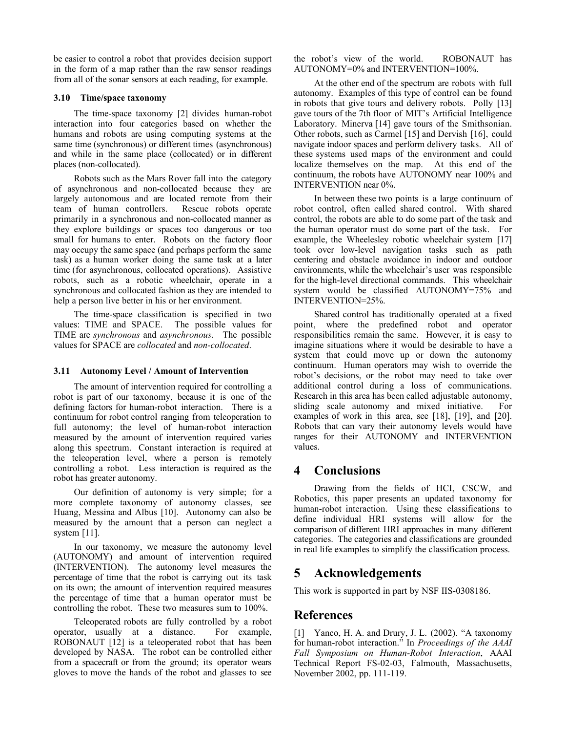be easier to control a robot that provides decision support in the form of a map rather than the raw sensor readings from all of the sonar sensors at each reading, for example.

#### 3.10 Time/space taxonomy

The time-space taxonomy [2] divides human-robot interaction into four categories based on whether the humans and robots are using computing systems at the same time (synchronous) or different times (asynchronous) and while in the same place (collocated) or in different places (non-collocated).

Robots such as the Mars Rover fall into the category of asynchronous and non-collocated because they are largely autonomous and are located remote from their team of human controllers. Rescue robots operate primarily in a synchronous and non-collocated manner as they explore buildings or spaces too dangerous or too small for humans to enter. Robots on the factory floor may occupy the same space (and perhaps perform the same task) as a human worker doing the same task at a later time (for asynchronous, collocated operations). Assistive robots, such as a robotic wheelchair, operate in a synchronous and collocated fashion as they are intended to help a person live better in his or her environment.

The time-space classification is specified in two values: TIME and SPACE. The possible values for TIME are *synchronous* and *asynchronous*. The possible values for SPACE are *collocated* and *non-collocated*.

#### 3.11 Autonomy Level / Amount of Intervention

The amount of intervention required for controlling a robot is part of our taxonomy, because it is one of the defining factors for human-robot interaction. There is a continuum for robot control ranging from teleoperation to full autonomy; the level of human-robot interaction measured by the amount of intervention required varies along this spectrum. Constant interaction is required at the teleoperation level, where a person is remotely controlling a robot. Less interaction is required as the robot has greater autonomy.

Our definition of autonomy is very simple; for a more complete taxonomy of autonomy classes, see Huang, Messina and Albus [10]. Autonomy can also be measured by the amount that a person can neglect a system [11].

In our taxonomy, we measure the autonomy level (AUTONOMY) and amount of intervention required (INTERVENTION). The autonomy level measures the percentage of time that the robot is carrying out its task on its own; the amount of intervention required measures the percentage of time that a human operator must be controlling the robot. These two measures sum to 100%.

Teleoperated robots are fully controlled by a robot operator, usually at a distance. For example, ROBONAUT [12] is a teleoperated robot that has been developed by NASA. The robot can be controlled either from a spacecraft or from the ground; its operator wears gloves to move the hands of the robot and glasses to see

the robot's view of the world. ROBONAUT has AUTONOMY=0% and INTERVENTION=100%.

At the other end of the spectrum are robots with full autonomy. Examples of this type of control can be found in robots that give tours and delivery robots. Polly [13] gave tours of the 7th floor of MIT's Artificial Intelligence Laboratory. Minerva [14] gave tours of the Smithsonian. Other robots, such as Carmel [15] and Dervish [16], could navigate indoor spaces and perform delivery tasks. All of these systems used maps of the environment and could localize themselves on the map. At this end of the continuum, the robots have AUTONOMY near 100% and INTERVENTION near 0%.

In between these two points is a large continuum of robot control, often called shared control. With shared control, the robots are able to do some part of the task and the human operator must do some part of the task. For example, the Wheelesley robotic wheelchair system [17] took over low-level navigation tasks such as path centering and obstacle avoidance in indoor and outdoor environments, while the wheelchair's user was responsible for the high-level directional commands. This wheelchair system would be classified AUTONOMY=75% and INTERVENTION=25%.

Shared control has traditionally operated at a fixed point, where the predefined robot and operator responsibilities remain the same. However, it is easy to imagine situations where it would be desirable to have a system that could move up or down the autonomy continuum. Human operators may wish to override the robot's decisions, or the robot may need to take over additional control during a loss of communications. Research in this area has been called adjustable autonomy, sliding scale autonomy and mixed initiative. For examples of work in this area, see [18], [19], and [20]. Robots that can vary their autonomy levels would have ranges for their AUTONOMY and INTERVENTION values.

# 4 Conclusions

Drawing from the fields of HCI, CSCW, and Robotics, this paper presents an updated taxonomy for human-robot interaction. Using these classifications to define individual HRI systems will allow for the comparison of different HRI approaches in many different categories. The categories and classifications are grounded in real life examples to simplify the classification process.

# 5 Acknowledgements

This work is supported in part by NSF IIS-0308186.

# References

[1] Yanco, H. A. and Drury, J. L. (2002). "A taxonomy for human-robot interaction." In *Proceedings of the AAAI Fall Symposium on Human-Robot Interaction*, AAAI Technical Report FS-02-03, Falmouth, Massachusetts, November 2002, pp. 111-119.